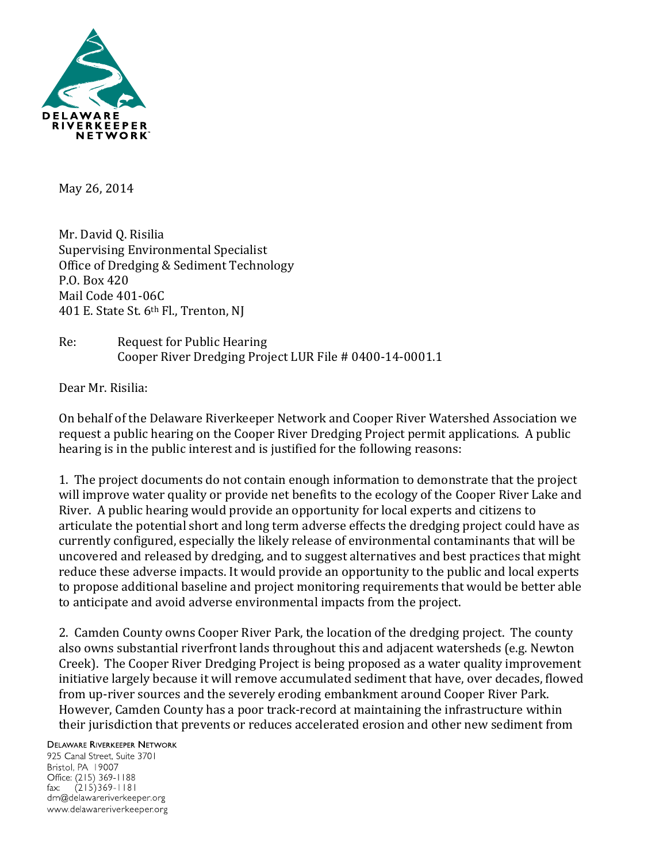

May 26, 2014

Mr. David Q. Risilia Supervising Environmental Specialist Office of Dredging & Sediment Technology P.O. Box 420 Mail Code 401-06C 401 E. State St. 6th Fl., Trenton, NJ

## Re: Request for Public Hearing Cooper River Dredging Project LUR File # 0400-14-0001.1

Dear Mr. Risilia:

On behalf of the Delaware Riverkeeper Network and Cooper River Watershed Association we request a public hearing on the Cooper River Dredging Project permit applications. A public hearing is in the public interest and is justified for the following reasons:

1. The project documents do not contain enough information to demonstrate that the project will improve water quality or provide net benefits to the ecology of the Cooper River Lake and River. A public hearing would provide an opportunity for local experts and citizens to articulate the potential short and long term adverse effects the dredging project could have as currently configured, especially the likely release of environmental contaminants that will be uncovered and released by dredging, and to suggest alternatives and best practices that might reduce these adverse impacts. It would provide an opportunity to the public and local experts to propose additional baseline and project monitoring requirements that would be better able to anticipate and avoid adverse environmental impacts from the project.

2. Camden County owns Cooper River Park, the location of the dredging project. The county also owns substantial riverfront lands throughout this and adjacent watersheds (e.g. Newton Creek). The Cooper River Dredging Project is being proposed as a water quality improvement initiative largely because it will remove accumulated sediment that have, over decades, flowed from up-river sources and the severely eroding embankment around Cooper River Park. However, Camden County has a poor track-record at maintaining the infrastructure within their jurisdiction that prevents or reduces accelerated erosion and other new sediment from

## **DELAWARE RIVERKEEPER NETWORK**

925 Canal Street, Suite 3701 Bristol, PA 19007 Office: (215) 369-1188  $(215)369 - 1181$  $\mathsf{fax:}$ drn@delawareriverkeeper.org www.delawareriverkeeper.org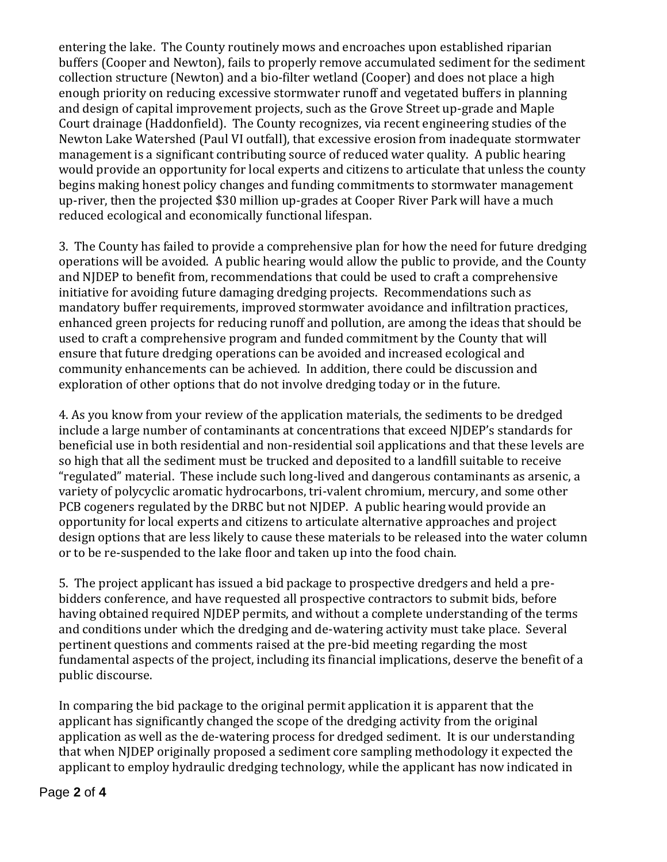entering the lake. The County routinely mows and encroaches upon established riparian buffers (Cooper and Newton), fails to properly remove accumulated sediment for the sediment collection structure (Newton) and a bio-filter wetland (Cooper) and does not place a high enough priority on reducing excessive stormwater runoff and vegetated buffers in planning and design of capital improvement projects, such as the Grove Street up-grade and Maple Court drainage (Haddonfield). The County recognizes, via recent engineering studies of the Newton Lake Watershed (Paul VI outfall), that excessive erosion from inadequate stormwater management is a significant contributing source of reduced water quality. A public hearing would provide an opportunity for local experts and citizens to articulate that unless the county begins making honest policy changes and funding commitments to stormwater management up-river, then the projected \$30 million up-grades at Cooper River Park will have a much reduced ecological and economically functional lifespan.

3. The County has failed to provide a comprehensive plan for how the need for future dredging operations will be avoided. A public hearing would allow the public to provide, and the County and NJDEP to benefit from, recommendations that could be used to craft a comprehensive initiative for avoiding future damaging dredging projects. Recommendations such as mandatory buffer requirements, improved stormwater avoidance and infiltration practices, enhanced green projects for reducing runoff and pollution, are among the ideas that should be used to craft a comprehensive program and funded commitment by the County that will ensure that future dredging operations can be avoided and increased ecological and community enhancements can be achieved. In addition, there could be discussion and exploration of other options that do not involve dredging today or in the future.

4. As you know from your review of the application materials, the sediments to be dredged include a large number of contaminants at concentrations that exceed NJDEP's standards for beneficial use in both residential and non-residential soil applications and that these levels are so high that all the sediment must be trucked and deposited to a landfill suitable to receive "regulated" material. These include such long-lived and dangerous contaminants as arsenic, a variety of polycyclic aromatic hydrocarbons, tri-valent chromium, mercury, and some other PCB cogeners regulated by the DRBC but not NJDEP. A public hearing would provide an opportunity for local experts and citizens to articulate alternative approaches and project design options that are less likely to cause these materials to be released into the water column or to be re-suspended to the lake floor and taken up into the food chain.

5. The project applicant has issued a bid package to prospective dredgers and held a prebidders conference, and have requested all prospective contractors to submit bids, before having obtained required NJDEP permits, and without a complete understanding of the terms and conditions under which the dredging and de-watering activity must take place. Several pertinent questions and comments raised at the pre-bid meeting regarding the most fundamental aspects of the project, including its financial implications, deserve the benefit of a public discourse.

In comparing the bid package to the original permit application it is apparent that the applicant has significantly changed the scope of the dredging activity from the original application as well as the de-watering process for dredged sediment. It is our understanding that when NJDEP originally proposed a sediment core sampling methodology it expected the applicant to employ hydraulic dredging technology, while the applicant has now indicated in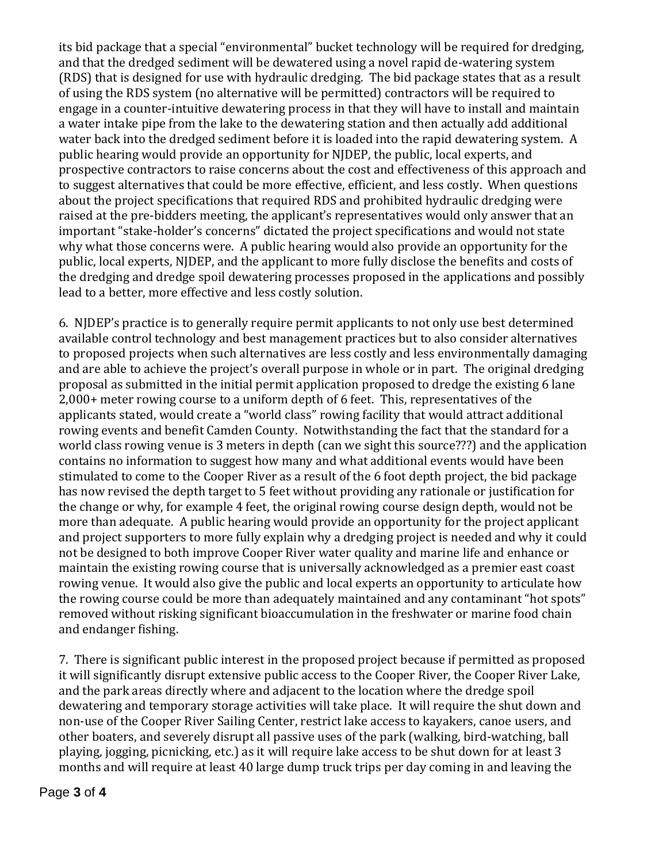its bid package that a special "environmental" bucket technology will be required for dredging, and that the dredged sediment will be dewatered using a novel rapid de-watering system (RDS) that is designed for use with hydraulic dredging. The bid package states that as a result of using the RDS system (no alternative will be permitted) contractors will be required to engage in a counter-intuitive dewatering process in that they will have to install and maintain a water intake pipe from the lake to the dewatering station and then actually add additional water back into the dredged sediment before it is loaded into the rapid dewatering system. A public hearing would provide an opportunity for NJDEP, the public, local experts, and prospective contractors to raise concerns about the cost and effectiveness of this approach and to suggest alternatives that could be more effective, efficient, and less costly. When questions about the project specifications that required RDS and prohibited hydraulic dredging were raised at the pre-bidders meeting, the applicant's representatives would only answer that an important "stake-holder's concerns" dictated the project specifications and would not state why what those concerns were. A public hearing would also provide an opportunity for the public, local experts, NJDEP, and the applicant to more fully disclose the benefits and costs of the dredging and dredge spoil dewatering processes proposed in the applications and possibly lead to a better, more effective and less costly solution.

6. NJDEP's practice is to generally require permit applicants to not only use best determined available control technology and best management practices but to also consider alternatives to proposed projects when such alternatives are less costly and less environmentally damaging and are able to achieve the project's overall purpose in whole or in part. The original dredging proposal as submitted in the initial permit application proposed to dredge the existing 6 lane 2,000+ meter rowing course to a uniform depth of 6 feet. This, representatives of the applicants stated, would create a "world class" rowing facility that would attract additional rowing events and benefit Camden County. Notwithstanding the fact that the standard for a world class rowing venue is 3 meters in depth (can we sight this source???) and the application contains no information to suggest how many and what additional events would have been stimulated to come to the Cooper River as a result of the 6 foot depth project, the bid package has now revised the depth target to 5 feet without providing any rationale or justification for the change or why, for example 4 feet, the original rowing course design depth, would not be more than adequate. A public hearing would provide an opportunity for the project applicant and project supporters to more fully explain why a dredging project is needed and why it could not be designed to both improve Cooper River water quality and marine life and enhance or maintain the existing rowing course that is universally acknowledged as a premier east coast rowing venue. It would also give the public and local experts an opportunity to articulate how the rowing course could be more than adequately maintained and any contaminant "hot spots" removed without risking significant bioaccumulation in the freshwater or marine food chain and endanger fishing.

7. There is significant public interest in the proposed project because if permitted as proposed it will significantly disrupt extensive public access to the Cooper River, the Cooper River Lake, and the park areas directly where and adjacent to the location where the dredge spoil dewatering and temporary storage activities will take place. It will require the shut down and non-use of the Cooper River Sailing Center, restrict lake access to kayakers, canoe users, and other boaters, and severely disrupt all passive uses of the park (walking, bird-watching, ball playing, jogging, picnicking, etc.) as it will require lake access to be shut down for at least 3 months and will require at least 40 large dump truck trips per day coming in and leaving the